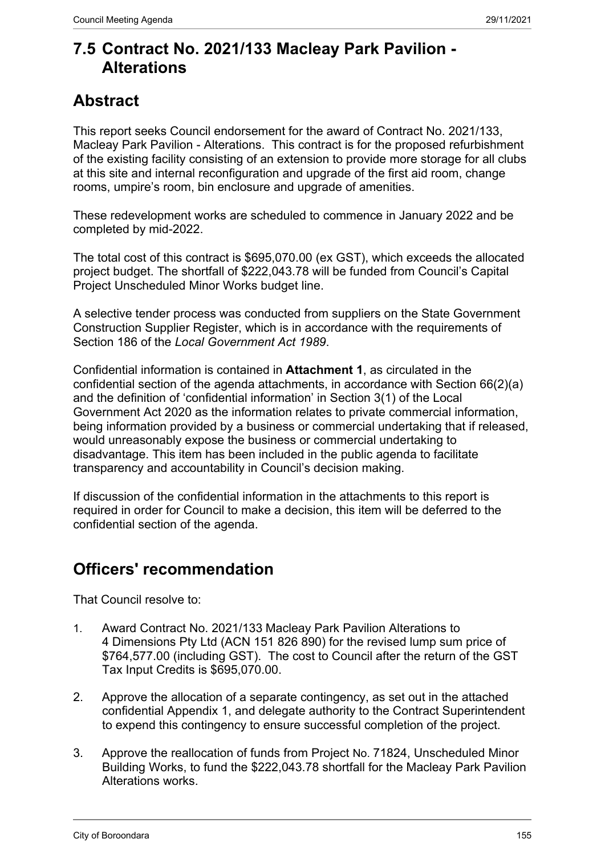# **7.5 Contract No. 2021/133 Macleay Park Pavilion - Alterations**

# **Abstract**

This report seeks Council endorsement for the award of Contract No. 2021/133, Macleay Park Pavilion - Alterations. This contract is for the proposed refurbishment of the existing facility consisting of an extension to provide more storage for all clubs at this site and internal reconfiguration and upgrade of the first aid room, change rooms, umpire's room, bin enclosure and upgrade of amenities.

These redevelopment works are scheduled to commence in January 2022 and be completed by mid-2022.

The total cost of this contract is \$695,070.00 (ex GST), which exceeds the allocated project budget. The shortfall of \$222,043.78 will be funded from Council's Capital Project Unscheduled Minor Works budget line.

A selective tender process was conducted from suppliers on the State Government Construction Supplier Register, which is in accordance with the requirements of Section 186 of the *Local Government Act 1989*.

Confidential information is contained in **Attachment 1**, as circulated in the confidential section of the agenda attachments, in accordance with Section 66(2)(a) and the definition of 'confidential information' in Section 3(1) of the Local Government Act 2020 as the information relates to private commercial information, being information provided by a business or commercial undertaking that if released, would unreasonably expose the business or commercial undertaking to disadvantage. This item has been included in the public agenda to facilitate transparency and accountability in Council's decision making.

If discussion of the confidential information in the attachments to this report is required in order for Council to make a decision, this item will be deferred to the confidential section of the agenda.

# **Officers' recommendation**

That Council resolve to:

- 1. Award Contract No. 2021/133 Macleay Park Pavilion Alterations to 4 Dimensions Pty Ltd (ACN 151 826 890) for the revised lump sum price of \$764,577.00 (including GST). The cost to Council after the return of the GST Tax Input Credits is \$695,070.00.
- 2. Approve the allocation of a separate contingency, as set out in the attached confidential Appendix 1, and delegate authority to the Contract Superintendent to expend this contingency to ensure successful completion of the project.
- 3. Approve the reallocation of funds from Project No. 71824, Unscheduled Minor Building Works, to fund the \$222,043.78 shortfall for the Macleay Park Pavilion Alterations works.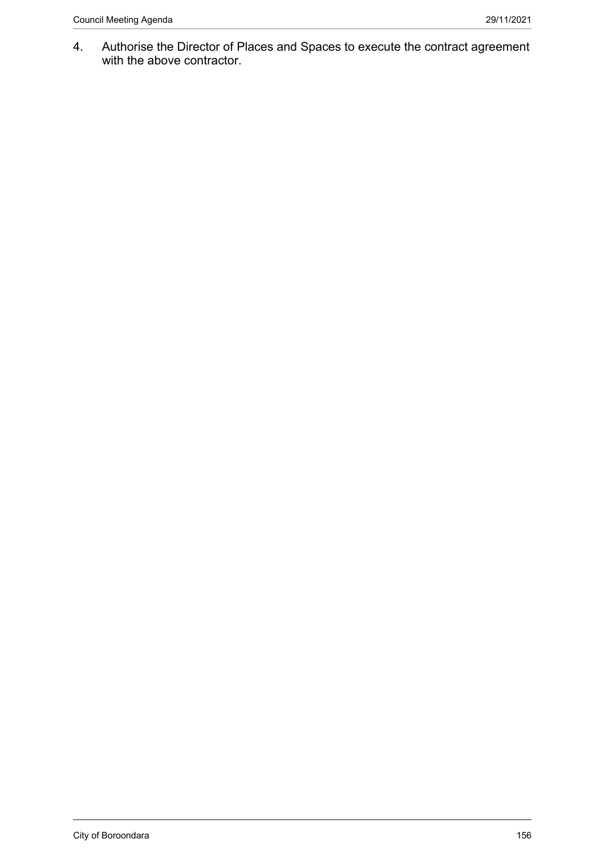4. Authorise the Director of Places and Spaces to execute the contract agreement with the above contractor.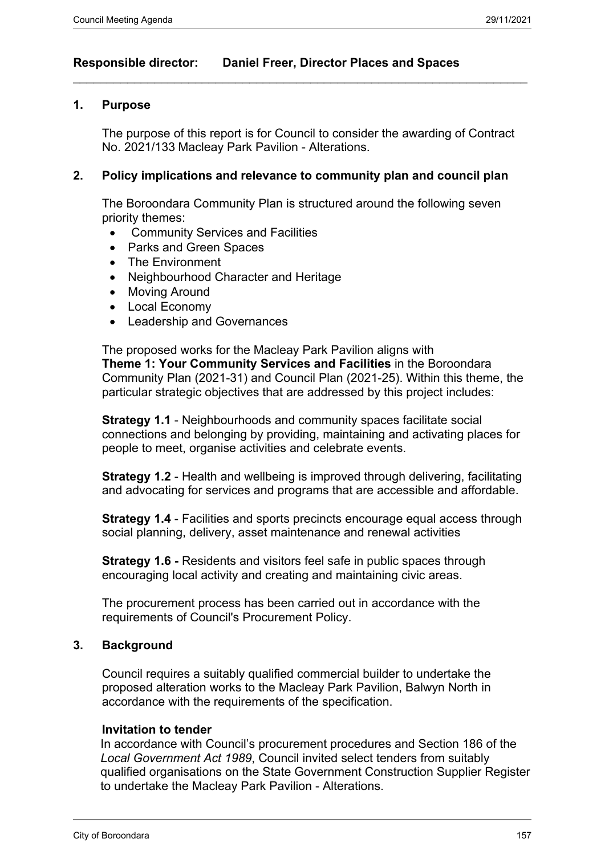## **Responsible director: Daniel Freer, Director Places and Spaces**

#### **1. Purpose**

The purpose of this report is for Council to consider the awarding of Contract No. 2021/133 Macleay Park Pavilion - Alterations.

 $\_$  , and the set of the set of the set of the set of the set of the set of the set of the set of the set of the set of the set of the set of the set of the set of the set of the set of the set of the set of the set of th

#### **2. Policy implications and relevance to community plan and council plan**

The Boroondara Community Plan is structured around the following seven priority themes:

- Community Services and Facilities
- Parks and Green Spaces
- The Environment
- Neighbourhood Character and Heritage
- Moving Around
- Local Economy
- Leadership and Governances

The proposed works for the Macleay Park Pavilion aligns with **Theme 1: Your Community Services and Facilities** in the Boroondara Community Plan (2021-31) and Council Plan (2021-25). Within this theme, the particular strategic objectives that are addressed by this project includes:

**Strategy 1.1** - Neighbourhoods and community spaces facilitate social connections and belonging by providing, maintaining and activating places for people to meet, organise activities and celebrate events.

**Strategy 1.2** - Health and wellbeing is improved through delivering, facilitating and advocating for services and programs that are accessible and affordable.

**Strategy 1.4** - Facilities and sports precincts encourage equal access through social planning, delivery, asset maintenance and renewal activities

**Strategy 1.6 -** Residents and visitors feel safe in public spaces through encouraging local activity and creating and maintaining civic areas.

The procurement process has been carried out in accordance with the requirements of Council's Procurement Policy.

#### **3. Background**

Council requires a suitably qualified commercial builder to undertake the proposed alteration works to the Macleay Park Pavilion, Balwyn North in accordance with the requirements of the specification.

#### **Invitation to tender**

In accordance with Council's procurement procedures and Section 186 of the *Local Government Act 1989*, Council invited select tenders from suitably qualified organisations on the State Government Construction Supplier Register to undertake the Macleay Park Pavilion - Alterations.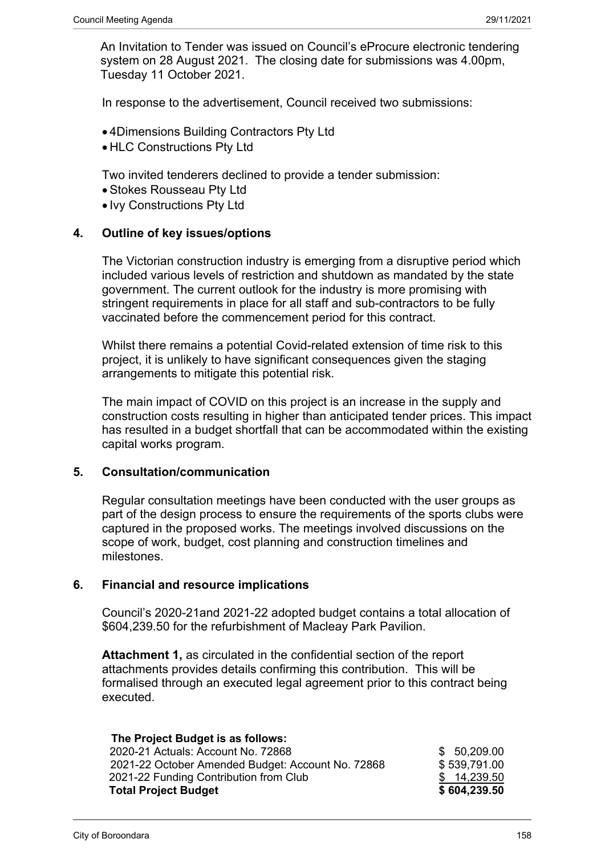An Invitation to Tender was issued on Council's eProcure electronic tendering system on 28 August 2021. The closing date for submissions was 4.00pm, Tuesday 11 October 2021.

In response to the advertisement, Council received two submissions:

- 4Dimensions Building Contractors Pty Ltd
- HLC Constructions Pty Ltd

Two invited tenderers declined to provide a tender submission:

- Stokes Rousseau Pty Ltd
- Ivy Constructions Pty Ltd

#### **4. Outline of key issues/options**

The Victorian construction industry is emerging from a disruptive period which included various levels of restriction and shutdown as mandated by the state government. The current outlook for the industry is more promising with stringent requirements in place for all staff and sub-contractors to be fully vaccinated before the commencement period for this contract.

Whilst there remains a potential Covid-related extension of time risk to this project, it is unlikely to have significant consequences given the staging arrangements to mitigate this potential risk.

The main impact of COVID on this project is an increase in the supply and construction costs resulting in higher than anticipated tender prices. This impact has resulted in a budget shortfall that can be accommodated within the existing capital works program.

#### **5. Consultation/communication**

Regular consultation meetings have been conducted with the user groups as part of the design process to ensure the requirements of the sports clubs were captured in the proposed works. The meetings involved discussions on the scope of work, budget, cost planning and construction timelines and milestones.

### **6. Financial and resource implications**

Council's 2020-21and 2021-22 adopted budget contains a total allocation of \$604,239.50 for the refurbishment of Macleay Park Pavilion.

**Attachment 1,** as circulated in the confidential section of the report attachments provides details confirming this contribution. This will be formalised through an executed legal agreement prior to this contract being executed.

| The Project Budget is as follows:                 |              |
|---------------------------------------------------|--------------|
| 2020-21 Actuals: Account No. 72868                | \$50,209.00  |
| 2021-22 October Amended Budget: Account No. 72868 | \$539,791.00 |
| 2021-22 Funding Contribution from Club            | \$14,239.50  |
| <b>Total Project Budget</b>                       | \$604,239.50 |